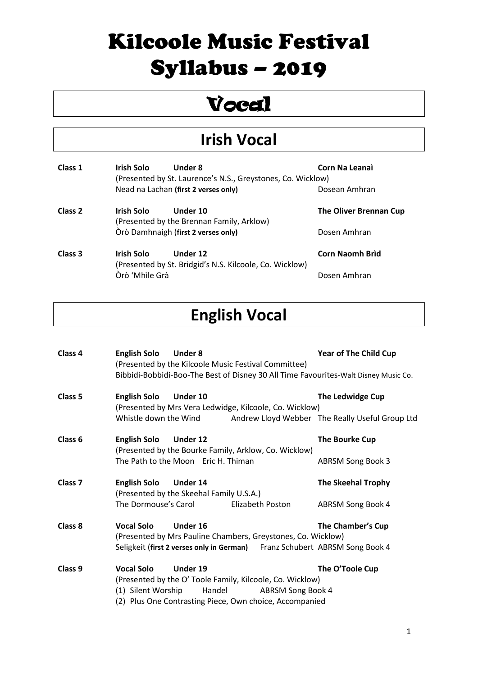### Vocal

#### **Irish Vocal**

| Class 1            | Irish Solo     | Under 8<br>(Presented by St. Laurence's N.S., Greystones, Co. Wicklow) | Corn Na Leanai                |
|--------------------|----------------|------------------------------------------------------------------------|-------------------------------|
|                    |                | Nead na Lachan (first 2 verses only)                                   | Dosean Amhran                 |
| Class <sub>2</sub> | Irish Solo     | Under 10<br>(Presented by the Brennan Family, Arklow)                  | <b>The Oliver Brennan Cup</b> |
|                    |                | Òrò Damhnaigh (first 2 verses only)                                    | Dosen Amhran                  |
| Class 3            | Irish Solo     | Under 12<br>(Presented by St. Bridgid's N.S. Kilcoole, Co. Wicklow)    | Corn Naomh Brìd               |
|                    | Òrò 'Mhìle Grà |                                                                        | Dosen Amhran                  |

#### **English Vocal**

| Class 4            | <b>English Solo</b><br>Under 8<br>(Presented by the Kilcoole Music Festival Committee)<br>Bibbidi-Bobbidi-Boo-The Best of Disney 30 All Time Favourites-Walt Disney Music Co.         |                          | <b>Year of The Child Cup</b>                                        |
|--------------------|---------------------------------------------------------------------------------------------------------------------------------------------------------------------------------------|--------------------------|---------------------------------------------------------------------|
| Class <sub>5</sub> | <b>English Solo</b><br>Under 10<br>(Presented by Mrs Vera Ledwidge, Kilcoole, Co. Wicklow)<br>Whistle down the Wind                                                                   |                          | The Ledwidge Cup<br>Andrew Lloyd Webber The Really Useful Group Ltd |
| Class <sub>6</sub> | <b>English Solo</b><br>Under 12<br>(Presented by the Bourke Family, Arklow, Co. Wicklow)<br>The Path to the Moon Eric H. Thiman                                                       |                          | The Bourke Cup<br><b>ABRSM Song Book 3</b>                          |
| Class <sub>7</sub> | <b>English Solo</b><br>Under 14<br>(Presented by the Skeehal Family U.S.A.)<br>The Dormouse's Carol                                                                                   | Elizabeth Poston         | <b>The Skeehal Trophy</b><br>ABRSM Song Book 4                      |
| Class 8            | <b>Vocal Solo</b><br>Under 16<br>(Presented by Mrs Pauline Chambers, Greystones, Co. Wicklow)<br>Seligkeit (first 2 verses only in German) Franz Schubert ABRSM Song Book 4           |                          | The Chamber's Cup                                                   |
| Class <sub>9</sub> | <b>Vocal Solo</b><br>Under 19<br>(Presented by the O' Toole Family, Kilcoole, Co. Wicklow)<br>(1) Silent Worship<br>Handel<br>(2) Plus One Contrasting Piece, Own choice, Accompanied | <b>ABRSM Song Book 4</b> | The O'Toole Cup                                                     |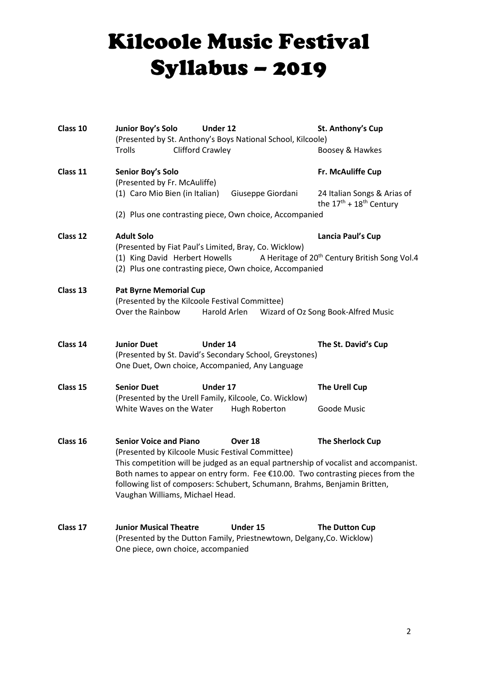| Class 10 | Junior Boy's Solo<br>Under 12<br>(Presented by St. Anthony's Boys National School, Kilcoole)                                                                                                                                                                                             | St. Anthony's Cup                                                                                                                                      |  |  |  |
|----------|------------------------------------------------------------------------------------------------------------------------------------------------------------------------------------------------------------------------------------------------------------------------------------------|--------------------------------------------------------------------------------------------------------------------------------------------------------|--|--|--|
|          | Clifford Crawley<br>Trolls                                                                                                                                                                                                                                                               | Boosey & Hawkes                                                                                                                                        |  |  |  |
| Class 11 | Senior Boy's Solo<br>(Presented by Fr. McAuliffe)                                                                                                                                                                                                                                        | Fr. McAuliffe Cup                                                                                                                                      |  |  |  |
|          | (1) Caro Mio Bien (in Italian)<br>Giuseppe Giordani                                                                                                                                                                                                                                      | 24 Italian Songs & Arias of<br>the $17th + 18th$ Century                                                                                               |  |  |  |
|          | (2) Plus one contrasting piece, Own choice, Accompanied                                                                                                                                                                                                                                  |                                                                                                                                                        |  |  |  |
| Class 12 | <b>Adult Solo</b><br>(Presented by Fiat Paul's Limited, Bray, Co. Wicklow)                                                                                                                                                                                                               | Lancia Paul's Cup                                                                                                                                      |  |  |  |
|          |                                                                                                                                                                                                                                                                                          | A Heritage of 20 <sup>th</sup> Century British Song Vol.4<br>(1) King David Herbert Howells<br>(2) Plus one contrasting piece, Own choice, Accompanied |  |  |  |
| Class 13 | <b>Pat Byrne Memorial Cup</b><br>(Presented by the Kilcoole Festival Committee)                                                                                                                                                                                                          |                                                                                                                                                        |  |  |  |
|          | Over the Rainbow<br>Harold Arlen<br>Wizard of Oz Song Book-Alfred Music                                                                                                                                                                                                                  |                                                                                                                                                        |  |  |  |
| Class 14 | <b>Junior Duet</b><br>Under 14<br>(Presented by St. David's Secondary School, Greystones)<br>One Duet, Own choice, Accompanied, Any Language                                                                                                                                             | The St. David's Cup                                                                                                                                    |  |  |  |
| Class 15 | <b>Senior Duet</b><br>Under 17<br>(Presented by the Urell Family, Kilcoole, Co. Wicklow)                                                                                                                                                                                                 | <b>The Urell Cup</b>                                                                                                                                   |  |  |  |
|          | White Waves on the Water<br>Hugh Roberton                                                                                                                                                                                                                                                | Goode Music                                                                                                                                            |  |  |  |
| Class 16 | <b>Senior Voice and Piano</b><br>Over 18<br>(Presented by Kilcoole Music Festival Committee)                                                                                                                                                                                             | <b>The Sherlock Cup</b>                                                                                                                                |  |  |  |
|          | This competition will be judged as an equal partnership of vocalist and accompanist.<br>Both names to appear on entry form. Fee €10.00. Two contrasting pieces from the<br>following list of composers: Schubert, Schumann, Brahms, Benjamin Britten,<br>Vaughan Williams, Michael Head. |                                                                                                                                                        |  |  |  |
| Class 17 | <b>Junior Musical Theatre</b><br>Under 15<br>(Presented by the Dutton Family, Priestnewtown, Delgany, Co. Wicklow)<br>One piece, own choice, accompanied                                                                                                                                 | The Dutton Cup                                                                                                                                         |  |  |  |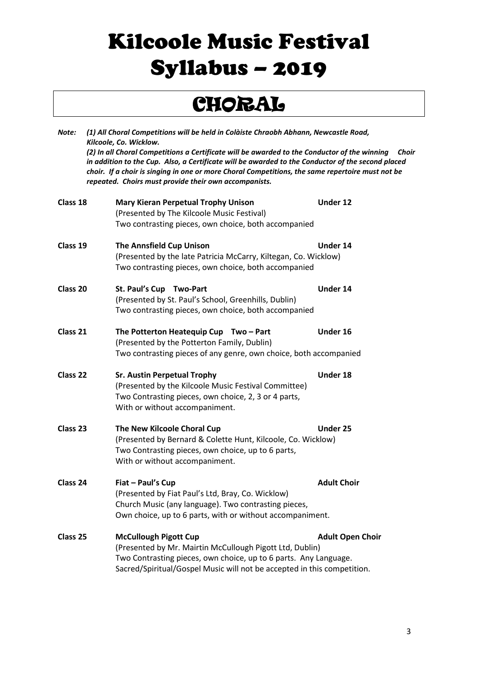### CHORAL

| Note:    | (1) All Choral Competitions will be held in Colàiste Chraobh Abhann, Newcastle Road,<br>Kilcoole, Co. Wicklow.<br>(2) In all Choral Competitions a Certificate will be awarded to the Conductor of the winning<br>Choir<br>in addition to the Cup. Also, a Certificate will be awarded to the Conductor of the second placed<br>choir. If a choir is singing in one or more Choral Competitions, the same repertoire must not be<br>repeated. Choirs must provide their own accompanists. |                         |  |
|----------|-------------------------------------------------------------------------------------------------------------------------------------------------------------------------------------------------------------------------------------------------------------------------------------------------------------------------------------------------------------------------------------------------------------------------------------------------------------------------------------------|-------------------------|--|
| Class 18 | <b>Mary Kieran Perpetual Trophy Unison</b><br>(Presented by The Kilcoole Music Festival)<br>Two contrasting pieces, own choice, both accompanied                                                                                                                                                                                                                                                                                                                                          | Under 12                |  |
| Class 19 | <b>The Annsfield Cup Unison</b><br>(Presented by the late Patricia McCarry, Kiltegan, Co. Wicklow)<br>Two contrasting pieces, own choice, both accompanied                                                                                                                                                                                                                                                                                                                                | Under 14                |  |
| Class 20 | St. Paul's Cup Two-Part<br>(Presented by St. Paul's School, Greenhills, Dublin)<br>Two contrasting pieces, own choice, both accompanied                                                                                                                                                                                                                                                                                                                                                   | Under 14                |  |
| Class 21 | The Potterton Heatequip Cup Two - Part<br>(Presented by the Potterton Family, Dublin)<br>Two contrasting pieces of any genre, own choice, both accompanied                                                                                                                                                                                                                                                                                                                                | Under 16                |  |
| Class 22 | <b>Sr. Austin Perpetual Trophy</b><br>(Presented by the Kilcoole Music Festival Committee)<br>Two Contrasting pieces, own choice, 2, 3 or 4 parts,<br>With or without accompaniment.                                                                                                                                                                                                                                                                                                      | Under 18                |  |
| Class 23 | The New Kilcoole Choral Cup<br>(Presented by Bernard & Colette Hunt, Kilcoole, Co. Wicklow)<br>Two Contrasting pieces, own choice, up to 6 parts,<br>With or without accompaniment.                                                                                                                                                                                                                                                                                                       | Under 25                |  |
| Class 24 | Fiat - Paul's Cup<br>(Presented by Fiat Paul's Ltd, Bray, Co. Wicklow)<br>Church Music (any language). Two contrasting pieces,<br>Own choice, up to 6 parts, with or without accompaniment.                                                                                                                                                                                                                                                                                               | <b>Adult Choir</b>      |  |
| Class 25 | <b>McCullough Pigott Cup</b><br>(Presented by Mr. Mairtin McCullough Pigott Ltd, Dublin)<br>Two Contrasting pieces, own choice, up to 6 parts. Any Language.<br>Sacred/Spiritual/Gospel Music will not be accepted in this competition.                                                                                                                                                                                                                                                   | <b>Adult Open Choir</b> |  |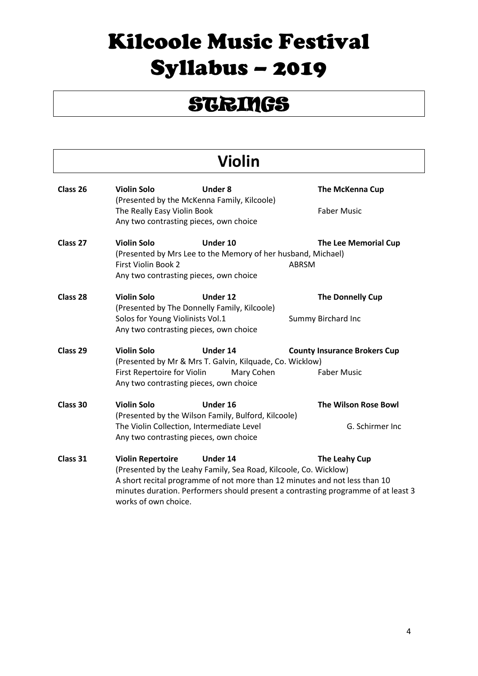### **STRINGS**

#### **Violin**

| Class 26 | <b>Violin Solo</b><br>(Presented by the McKenna Family, Kilcoole)                   | <b>Under 8</b>                                                               | <b>The McKenna Cup</b>                                                                                                                                                           |
|----------|-------------------------------------------------------------------------------------|------------------------------------------------------------------------------|----------------------------------------------------------------------------------------------------------------------------------------------------------------------------------|
|          | The Really Easy Violin Book<br>Any two contrasting pieces, own choice               |                                                                              | <b>Faber Music</b>                                                                                                                                                               |
| Class 27 | <b>Violin Solo</b><br>First Violin Book 2<br>Any two contrasting pieces, own choice | Under 10<br>(Presented by Mrs Lee to the Memory of her husband, Michael)     | The Lee Memorial Cup<br><b>ABRSM</b>                                                                                                                                             |
| Class 28 | <b>Violin Solo</b><br>(Presented by The Donnelly Family, Kilcoole)                  | Under 12                                                                     | The Donnelly Cup                                                                                                                                                                 |
|          | Solos for Young Violinists Vol.1<br>Any two contrasting pieces, own choice          |                                                                              | Summy Birchard Inc                                                                                                                                                               |
| Class 29 | <b>Violin Solo</b>                                                                  | Under 14<br>(Presented by Mr & Mrs T. Galvin, Kilquade, Co. Wicklow)         | <b>County Insurance Brokers Cup</b>                                                                                                                                              |
|          | First Repertoire for Violin<br>Any two contrasting pieces, own choice               | Mary Cohen                                                                   | <b>Faber Music</b>                                                                                                                                                               |
| Class 30 | <b>Violin Solo</b>                                                                  | Under 16<br>(Presented by the Wilson Family, Bulford, Kilcoole)              | <b>The Wilson Rose Bowl</b>                                                                                                                                                      |
|          | The Violin Collection, Intermediate Level<br>Any two contrasting pieces, own choice |                                                                              | G. Schirmer Inc                                                                                                                                                                  |
| Class 31 | <b>Violin Repertoire</b><br>works of own choice.                                    | Under 14<br>(Presented by the Leahy Family, Sea Road, Kilcoole, Co. Wicklow) | The Leahy Cup<br>A short recital programme of not more than 12 minutes and not less than 10<br>minutes duration. Performers should present a contrasting programme of at least 3 |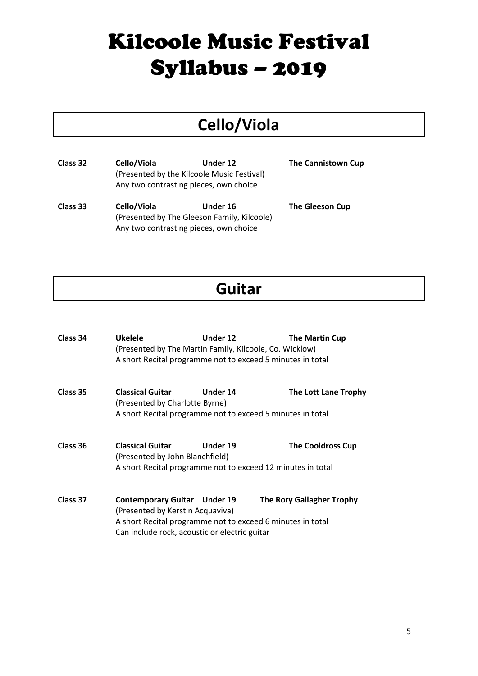#### **Cello/Viola**

**Class 32 Cello/Viola Under 12 The Cannistown Cup** (Presented by the Kilcoole Music Festival) Any two contrasting pieces, own choice

**Class 33 Cello/Viola Under 16 The Gleeson Cup** (Presented by The Gleeson Family, Kilcoole) Any two contrasting pieces, own choice

#### **Guitar**

| Class 34 | <b>Ukelele</b><br>(Presented by The Martin Family, Kilcoole, Co. Wicklow)<br>A short Recital programme not to exceed 5 minutes in total                                                | Under 12 | The Martin Cup                   |
|----------|----------------------------------------------------------------------------------------------------------------------------------------------------------------------------------------|----------|----------------------------------|
| Class 35 | <b>Classical Guitar</b><br>(Presented by Charlotte Byrne)<br>A short Recital programme not to exceed 5 minutes in total                                                                | Under 14 | The Lott Lane Trophy             |
| Class 36 | <b>Classical Guitar</b><br>(Presented by John Blanchfield)<br>A short Recital programme not to exceed 12 minutes in total                                                              | Under 19 | <b>The Cooldross Cup</b>         |
| Class 37 | <b>Contemporary Guitar Under 19</b><br>(Presented by Kerstin Acquaviva)<br>A short Recital programme not to exceed 6 minutes in total<br>Can include rock, acoustic or electric guitar |          | <b>The Rory Gallagher Trophy</b> |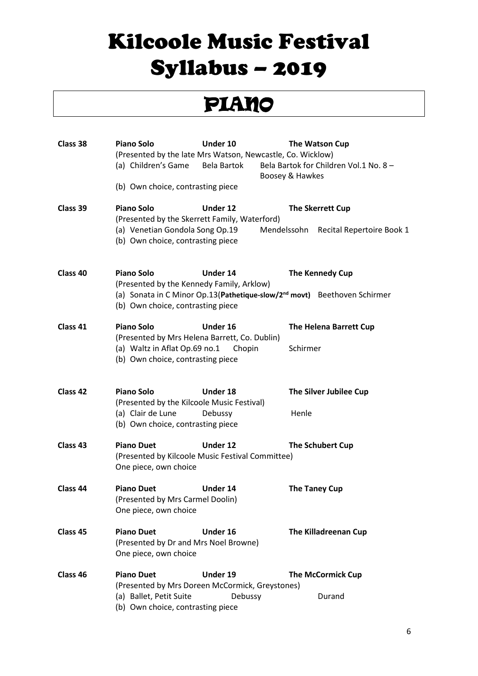### PIANO

| Class 38            | <b>Piano Solo</b><br>(Presented by the late Mrs Watson, Newcastle, Co. Wicklow)<br>(a) Children's Game<br>(b) Own choice, contrasting piece | Under 10<br>Bela Bartok | The Watson Cup<br>Bela Bartok for Children Vol.1 No. 8 -<br>Boosey & Hawkes                              |
|---------------------|---------------------------------------------------------------------------------------------------------------------------------------------|-------------------------|----------------------------------------------------------------------------------------------------------|
| Class 39            | <b>Piano Solo</b><br>(Presented by the Skerrett Family, Waterford)<br>(a) Venetian Gondola Song Op.19<br>(b) Own choice, contrasting piece  | Under 12                | The Skerrett Cup<br>Mendelssohn<br>Recital Repertoire Book 1                                             |
| Class 40            | Piano Solo<br>(Presented by the Kennedy Family, Arklow)<br>(b) Own choice, contrasting piece                                                | Under 14                | The Kennedy Cup<br>(a) Sonata in C Minor Op.13 (Pathetique-slow/2 <sup>nd</sup> movt) Beethoven Schirmer |
| Class 41            | Piano Solo<br>(Presented by Mrs Helena Barrett, Co. Dublin)<br>(a) Waltz in Aflat Op.69 no.1<br>(b) Own choice, contrasting piece           | Under 16<br>Chopin      | The Helena Barrett Cup<br>Schirmer                                                                       |
| Class 42            | Piano Solo<br>(Presented by the Kilcoole Music Festival)<br>(a) Clair de Lune<br>(b) Own choice, contrasting piece                          | Under 18<br>Debussy     | The Silver Jubilee Cup<br>Henle                                                                          |
| Class <sub>43</sub> | <b>Piano Duet</b><br>(Presented by Kilcoole Music Festival Committee)<br>One piece, own choice                                              | Under 12                | The Schubert Cup                                                                                         |
| Class 44            | <b>Piano Duet</b><br>(Presented by Mrs Carmel Doolin)<br>One piece, own choice                                                              | <b>Under 14</b>         | <b>The Taney Cup</b>                                                                                     |
| Class 45            | <b>Piano Duet</b><br>(Presented by Dr and Mrs Noel Browne)<br>One piece, own choice                                                         | Under 16                | <b>The Killadreenan Cup</b>                                                                              |
| Class <sub>46</sub> | <b>Piano Duet</b><br>(Presented by Mrs Doreen McCormick, Greystones)<br>(a) Ballet, Petit Suite<br>(b) Own choice, contrasting piece        | Under 19<br>Debussy     | <b>The McCormick Cup</b><br>Durand                                                                       |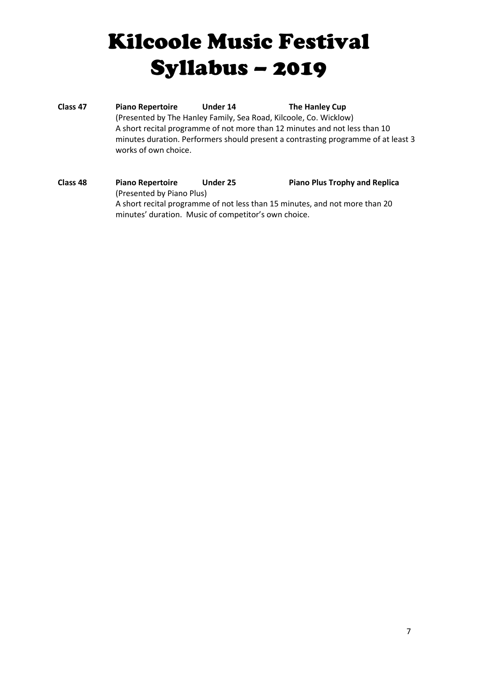**Class 47 Piano Repertoire Under 14 The Hanley Cup** (Presented by The Hanley Family, Sea Road, Kilcoole, Co. Wicklow) A short recital programme of not more than 12 minutes and not less than 10 minutes duration. Performers should present a contrasting programme of at least 3 works of own choice.

#### **Class 48 Piano Repertoire Under 25 Piano Plus Trophy and Replica** (Presented by Piano Plus) A short recital programme of not less than 15 minutes, and not more than 20 minutes' duration. Music of competitor's own choice.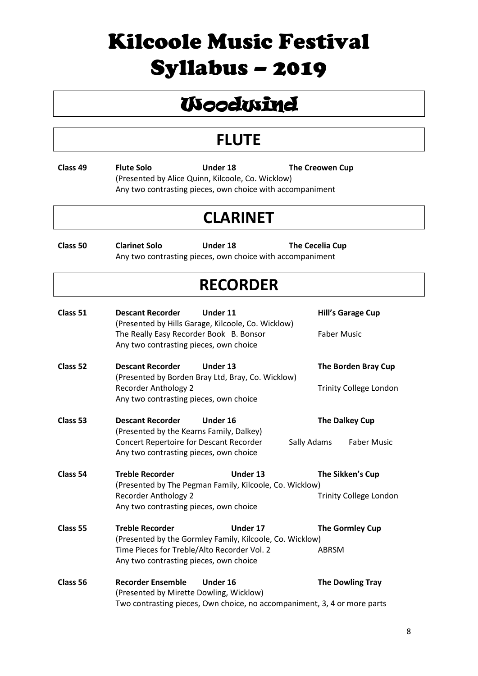### **Woodwind**

#### **FLUTE**

**Class 49 Flute Solo Under 18 The Creowen Cup** (Presented by Alice Quinn, Kilcoole, Co. Wicklow) Any two contrasting pieces, own choice with accompaniment

#### **CLARINET**

**Class 50 Clarinet Solo Under 18 The Cecelia Cup** Any two contrasting pieces, own choice with accompaniment

#### **RECORDER**

| Class 51 | <b>Descant Recorder</b><br>The Really Easy Recorder Book B. Bonsor<br>Any two contrasting pieces, own choice                                             | Under 11<br>(Presented by Hills Garage, Kilcoole, Co. Wicklow)                       | <b>Hill's Garage Cup</b><br><b>Faber Music</b>       |
|----------|----------------------------------------------------------------------------------------------------------------------------------------------------------|--------------------------------------------------------------------------------------|------------------------------------------------------|
| Class 52 | <b>Descant Recorder</b><br><b>Recorder Anthology 2</b><br>Any two contrasting pieces, own choice                                                         | Under 13<br>(Presented by Borden Bray Ltd, Bray, Co. Wicklow)                        | The Borden Bray Cup<br><b>Trinity College London</b> |
| Class 53 | <b>Descant Recorder</b><br>(Presented by the Kearns Family, Dalkey)<br>Concert Repertoire for Descant Recorder<br>Any two contrasting pieces, own choice | Under 16<br>Sally Adams                                                              | The Dalkey Cup<br><b>Faber Music</b>                 |
| Class 54 | <b>Treble Recorder</b><br><b>Recorder Anthology 2</b><br>Any two contrasting pieces, own choice                                                          | Under 13<br>(Presented by The Pegman Family, Kilcoole, Co. Wicklow)                  | The Sikken's Cup<br><b>Trinity College London</b>    |
| Class 55 | <b>Treble Recorder</b><br>Time Pieces for Treble/Alto Recorder Vol. 2<br>Any two contrasting pieces, own choice                                          | Under 17<br>(Presented by the Gormley Family, Kilcoole, Co. Wicklow)                 | The Gormley Cup<br><b>ABRSM</b>                      |
| Class 56 | <b>Recorder Ensemble</b><br>(Presented by Mirette Dowling, Wicklow)                                                                                      | Under 16<br>Two contrasting pieces, Own choice, no accompaniment, 3, 4 or more parts | <b>The Dowling Tray</b>                              |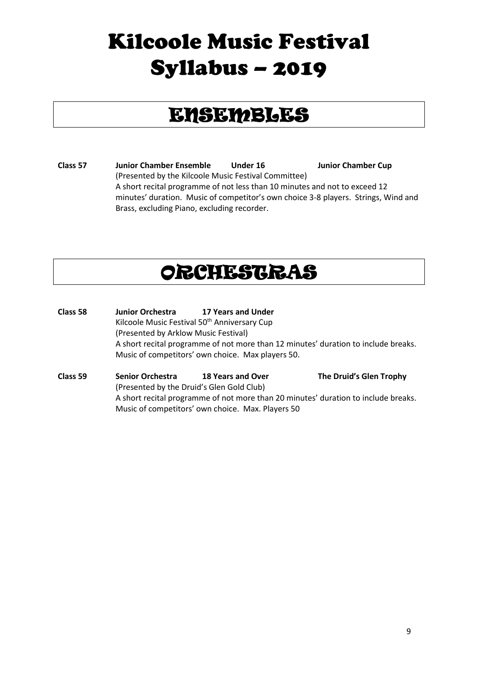### ENSEMBLES

**Class 57 Junior Chamber Ensemble Under 16 Junior Chamber Cup** (Presented by the Kilcoole Music Festival Committee) A short recital programme of not less than 10 minutes and not to exceed 12 minutes' duration. Music of competitor's own choice 3-8 players. Strings, Wind and Brass, excluding Piano, excluding recorder.

#### ORCHESTRAS

- **Class 58 Junior Orchestra 17 Years and Under** Kilcoole Music Festival 50<sup>th</sup> Anniversary Cup (Presented by Arklow Music Festival) A short recital programme of not more than 12 minutes' duration to include breaks. Music of competitors' own choice. Max players 50.
- **Class 59 Senior Orchestra 18 Years and Over The Druid's Glen Trophy** (Presented by the Druid's Glen Gold Club) A short recital programme of not more than 20 minutes' duration to include breaks. Music of competitors' own choice. Max. Players 50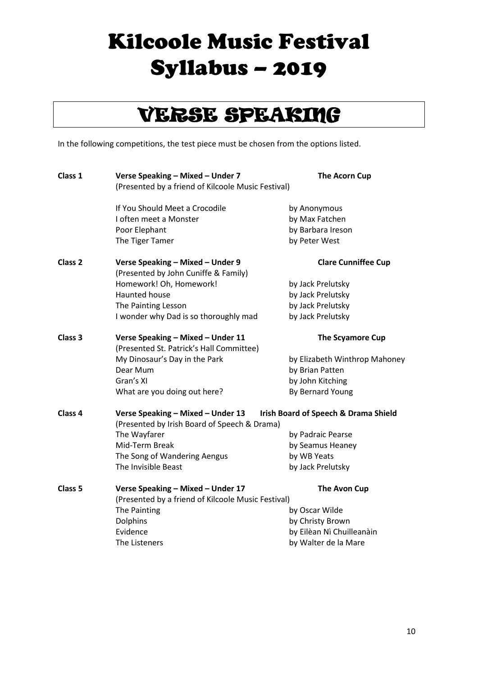### VERSE SPEAKING

In the following competitions, the test piece must be chosen from the options listed.

| Class 1            | Verse Speaking - Mixed - Under 7<br><b>The Acorn Cup</b><br>(Presented by a friend of Kilcoole Music Festival)            |                               |
|--------------------|---------------------------------------------------------------------------------------------------------------------------|-------------------------------|
|                    | If You Should Meet a Crocodile                                                                                            | by Anonymous                  |
|                    | I often meet a Monster                                                                                                    | by Max Fatchen                |
|                    | Poor Elephant                                                                                                             | by Barbara Ireson             |
|                    | The Tiger Tamer                                                                                                           | by Peter West                 |
| Class <sub>2</sub> | Verse Speaking - Mixed - Under 9<br>(Presented by John Cuniffe & Family)                                                  | <b>Clare Cunniffee Cup</b>    |
|                    | Homework! Oh, Homework!                                                                                                   | by Jack Prelutsky             |
|                    | <b>Haunted house</b>                                                                                                      | by Jack Prelutsky             |
|                    | The Painting Lesson                                                                                                       | by Jack Prelutsky             |
|                    | I wonder why Dad is so thoroughly mad                                                                                     | by Jack Prelutsky             |
| Class 3            | Verse Speaking - Mixed - Under 11<br>(Presented St. Patrick's Hall Committee)                                             | <b>The Scyamore Cup</b>       |
|                    | My Dinosaur's Day in the Park                                                                                             | by Elizabeth Winthrop Mahoney |
|                    | Dear Mum                                                                                                                  | by Brian Patten               |
|                    | Gran's XI                                                                                                                 | by John Kitching              |
|                    | What are you doing out here?                                                                                              | By Bernard Young              |
| Class <sub>4</sub> | Verse Speaking - Mixed - Under 13    Irish Board of Speech & Drama Shield<br>(Presented by Irish Board of Speech & Drama) |                               |
|                    | The Wayfarer                                                                                                              | by Padraic Pearse             |
|                    | Mid-Term Break                                                                                                            | by Seamus Heaney              |
|                    | The Song of Wandering Aengus                                                                                              | by WB Yeats                   |
|                    | The Invisible Beast                                                                                                       | by Jack Prelutsky             |
| Class <sub>5</sub> | Verse Speaking - Mixed - Under 17<br>(Presented by a friend of Kilcoole Music Festival)                                   | <b>The Avon Cup</b>           |
|                    | The Painting                                                                                                              | by Oscar Wilde                |
|                    | <b>Dolphins</b>                                                                                                           | by Christy Brown              |
|                    | Evidence                                                                                                                  | by Eilèan Nì Chuilleanàin     |
|                    | The Listeners                                                                                                             | by Walter de la Mare          |
|                    |                                                                                                                           |                               |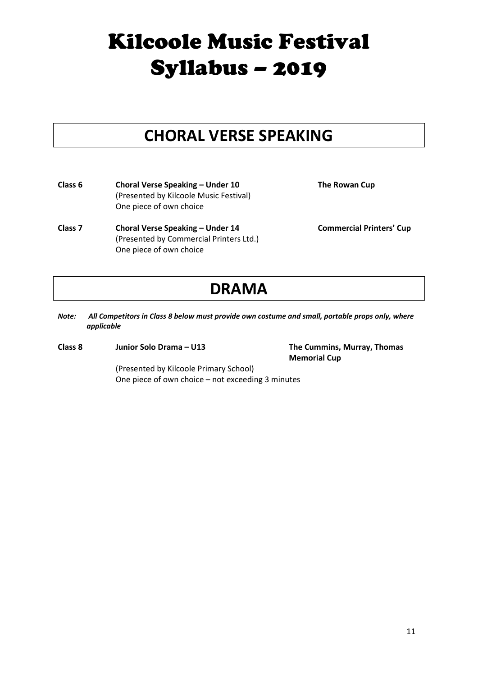#### **CHORAL VERSE SPEAKING**

**Class 6 Choral Verse Speaking – Under 10 The Rowan Cup** (Presented by Kilcoole Music Festival) One piece of own choice

**Class 7 Choral Verse Speaking – Under 14 Commercial Printers' Cup** (Presented by Commercial Printers Ltd.) One piece of own choice

#### **DRAMA**

- *Note: All Competitors in Class 8 below must provide own costume and small, portable props only, where applicable*
- **Class 8 Junior Solo Drama – U13 The Cummins, Murray, Thomas**

**Memorial Cup**

(Presented by Kilcoole Primary School) One piece of own choice – not exceeding 3 minutes